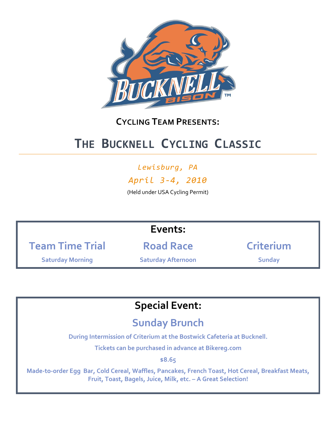

#### **CYCLING TEAM PRESENTS:**

### **THE BUCKNELL CYCLING CLASSIC**

#### *Lewisburg, PA*

*April 3-4, 2010*

(Held under USA Cycling Permit)

#### **Events:**

**Team Time Trial**

**Road Race**

**Saturday Morning**

**Saturday Afternoon**

**Criterium**

**Sunday**

### **Special Event:**

#### **Sunday Brunch**

**During Intermission of Criterium at the Bostwick Cafeteria at Bucknell.**

**Tickets can be purchased in advance at Bikereg.com**

**\$8.65**

**Made-to-order Egg Bar, Cold Cereal, Waffles, Pancakes, French Toast, Hot Cereal, Breakfast Meats, Fruit, Toast, Bagels, Juice, Milk, etc. – A Great Selection!**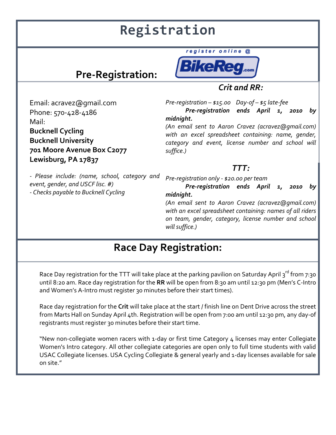## **Registration**

### **Pre-Registration:**



register online @

*Crit and RR:*

*Pre-registration – \$15.00 Day-of – \$5 late-fee Pre-registration ends April 1, 2010 by midnight.* 

*(An email sent to Aaron Cravez (acravez@gmail.com) with an excel spreadsheet containing: name, gender, category and event, license number and school will suffice.)*

#### *TTT:*

*- Please include: (name, school, category and event, gender, and USCF lisc. #) - Checks payable to Bucknell Cycling*

Email: acravez@gmail.com

**701 Moore Avenue Box C2077**

Phone: 570-428-4186

**Lewisburg, PA 17837**

**Bucknell Cycling Bucknell University**

Mail:

*Pre-registration only - \$20.00 per team Pre-registration ends April 1, 2010 by midnight.* 

*(An email sent to Aaron Cravez (acravez@gmail.com) with an excel spreadsheet containing: names of all riders on team, gender, category, license number and school will suffice.)*

### **Race Day Registration:**

Race Day registration for the TTT will take place at the parking pavilion on Saturday April 3<sup>rd</sup> from 7:30 until 8:20 am. Race day registration for the **RR** will be open from 8:30 am until 12:30 pm (Men's C-Intro and Women's A-Intro must register 30 minutes before their start times).

Race day registration for the **Crit** will take place at the start / finish line on Dent Drive across the street from Marts Hall on Sunday April 4th. Registration will be open from 7:00 am until 12:30 pm, any day-of registrants must register 30 minutes before their start time.

"New non-collegiate women racers with 1-day or first time Category 4 licenses may enter Collegiate Women's Intro category. All other collegiate categories are open only to full time students with valid USAC Collegiate licenses. USA Cycling Collegiate & general yearly and 1-day licenses available for sale on site."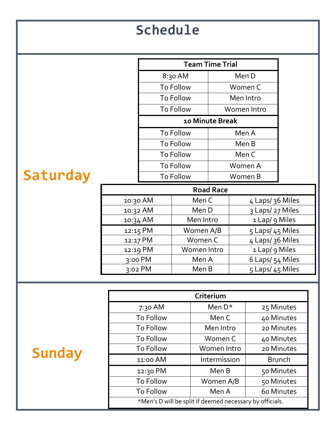| <b>Schedule</b> |                                                          |                     |           |                        |                                     |                                    |            |  |
|-----------------|----------------------------------------------------------|---------------------|-----------|------------------------|-------------------------------------|------------------------------------|------------|--|
|                 | <b>Team Time Trial</b>                                   |                     |           |                        |                                     |                                    |            |  |
|                 |                                                          | 8:30 AM             |           | Men D                  |                                     |                                    |            |  |
|                 |                                                          | To Follow           |           | Women C                |                                     |                                    |            |  |
|                 |                                                          | To Follow           |           | Men Intro              |                                     |                                    |            |  |
|                 |                                                          | To Follow           |           | Women Intro            |                                     |                                    |            |  |
|                 |                                                          | 10 Minute Break     |           |                        |                                     |                                    |            |  |
|                 |                                                          | To Follow           |           | Men A                  |                                     |                                    |            |  |
|                 |                                                          |                     |           | To Follow              |                                     | Men B                              |            |  |
|                 |                                                          | To Follow           |           | Men C                  |                                     |                                    |            |  |
| Saturday        |                                                          | To Follow           |           | Women A                |                                     |                                    |            |  |
|                 |                                                          | To Follow           |           | Women B                |                                     |                                    |            |  |
|                 | <b>Road Race</b>                                         |                     |           |                        |                                     |                                    |            |  |
|                 | 10:30 AM                                                 |                     | Men C     |                        | 4 Laps/ 36 Miles                    |                                    |            |  |
|                 |                                                          | 10:32 AM            |           | Men D                  |                                     | 3 Laps/ 27 Miles                   |            |  |
|                 | 10:34 AM                                                 |                     | Men Intro |                        | 1 Lap/ 9 Miles                      |                                    |            |  |
|                 | 12:15 PM                                                 |                     | Women A/B |                        | 5 Laps/ 45 Miles<br>4 Laps/36 Miles |                                    |            |  |
|                 |                                                          | 12:17 PM            |           | Women C<br>Women Intro |                                     |                                    |            |  |
|                 |                                                          | 12:19 PM<br>3:00 PM |           | Men A                  |                                     | 1 Lap/ 9 Miles<br>6 Laps/ 54 Miles |            |  |
|                 |                                                          | 3:02 PM             |           | Men B                  |                                     | 5 Laps/ 45 Miles                   |            |  |
|                 |                                                          |                     |           |                        |                                     |                                    |            |  |
|                 |                                                          |                     |           | Criterium              |                                     |                                    |            |  |
|                 |                                                          | 7:30 AM             | Men D*    |                        |                                     |                                    | 25 Minutes |  |
|                 |                                                          | <b>To Follow</b>    |           | Men C                  |                                     |                                    | 40 Minutes |  |
|                 |                                                          | To Follow           |           | Men Intro              |                                     | 20 Minutes                         |            |  |
|                 | To Follow                                                |                     |           | Women C                |                                     |                                    | 40 Minutes |  |
| <b>Sunday</b>   |                                                          | To Follow           |           | Women Intro            |                                     |                                    | 20 Minutes |  |
|                 |                                                          | 11:00 AM            |           | Intermission           |                                     | <b>Brunch</b>                      |            |  |
|                 |                                                          | 12:30 PM            |           | Men B                  |                                     |                                    | 50 Minutes |  |
|                 |                                                          | To Follow           |           | Women A/B              |                                     | 50 Minutes                         |            |  |
|                 | To Follow                                                |                     |           | Men A                  |                                     | 60 Minutes                         |            |  |
|                 | *Men's D will be split if deemed necessary by officials. |                     |           |                        |                                     |                                    |            |  |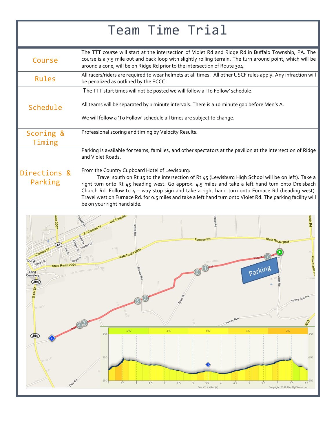# Team Time Trial

| Course                  | The TTT course will start at the intersection of Violet Rd and Ridge Rd in Buffalo Township, PA. The<br>course is a 7.5 mile out and back loop with slightly rolling terrain. The turn around point, which will be<br>around a cone, will be on Ridge Rd prior to the intersection of Route 304.                                                                                                                                                                                |
|-------------------------|---------------------------------------------------------------------------------------------------------------------------------------------------------------------------------------------------------------------------------------------------------------------------------------------------------------------------------------------------------------------------------------------------------------------------------------------------------------------------------|
| Rules                   | All racers/riders are required to wear helmets at all times. All other USCF rules apply. Any infraction will<br>be penalized as outlined by the ECCC.                                                                                                                                                                                                                                                                                                                           |
|                         | The TTT start times will not be posted we will follow a 'To Follow' schedule.                                                                                                                                                                                                                                                                                                                                                                                                   |
| Schedule                | All teams will be separated by 1 minute intervals. There is a 10 minute gap before Men's A.                                                                                                                                                                                                                                                                                                                                                                                     |
|                         | We will follow a 'To Follow' schedule all times are subject to change.                                                                                                                                                                                                                                                                                                                                                                                                          |
| Scoring &<br>Timing     | Professional scoring and timing by Velocity Results.                                                                                                                                                                                                                                                                                                                                                                                                                            |
|                         | Parking is available for teams, families, and other spectators at the pavilion at the intersection of Ridge<br>and Violet Roads.                                                                                                                                                                                                                                                                                                                                                |
| Directions &<br>Parking | From the Country Cupboard Hotel of Lewisburg:<br>Travel south on Rt 15 to the intersection of Rt 45 (Lewisburg High School will be on left). Take a<br>right turn onto Rt 45 heading west. Go approx. 4.5 miles and take a left hand turn onto Dreisbach<br>Church Rd. Follow to $4 - way$ stop sign and take a right hand turn onto Furnace Rd (heading west).<br>Travel west on Furnace Rd. for 0.5 miles and take a left hand turn onto Violet Rd. The parking facility will |

be on your right hand side. wrch Rd Furnace Rd State Route 2004 New Betin<sup>t</sup> hburg Parking 2004 Long<br>:emeter  $\circled{304}$ ö RU **Turke**  $1%$  $75($  $50$  $\circled{304}$ 650 550 550  $\begin{array}{c} 3.5 \\ 3.5 \end{array}$  Feet (Y) / Miles (X)  $4<sup>1</sup>$  $0.5$ 1  $1<sup>1</sup>$  $\frac{1}{2}$  $2.5$  $\frac{1}{3}$  $5.5$  $6.5$  $7.3$ Copyright 2008 MapMyFitness, Inc.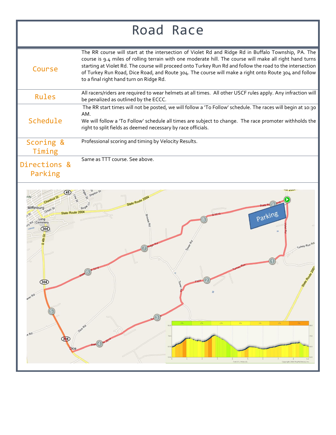## Road Race

| Course              | The RR course will start at the intersection of Violet Rd and Ridge Rd in Buffalo Township, PA. The<br>course is 9.4 miles of rolling terrain with one moderate hill. The course will make all right hand turns<br>starting at Violet Rd. The course will proceed onto Turkey Run Rd and follow the road to the intersection<br>of Turkey Run Road, Dice Road, and Route 304. The course will make a right onto Route 304 and follow<br>to a final right hand turn on Ridge Rd. |
|---------------------|---------------------------------------------------------------------------------------------------------------------------------------------------------------------------------------------------------------------------------------------------------------------------------------------------------------------------------------------------------------------------------------------------------------------------------------------------------------------------------|
| Rules               | All racers/riders are required to wear helmets at all times. All other USCF rules apply. Any infraction will<br>be penalized as outlined by the ECCC.                                                                                                                                                                                                                                                                                                                           |
| Schedule            | The RR start times will not be posted, we will follow a 'To Follow' schedule. The races will begin at 10:30<br>AM.<br>We will follow a 'To Follow' schedule all times are subject to change. The race promoter withholds the<br>right to split fields as deemed necessary by race officials.                                                                                                                                                                                    |
| Scoring &<br>Timing | Professional scoring and timing by Velocity Results.                                                                                                                                                                                                                                                                                                                                                                                                                            |
| Directions &        | Same as TTT course. See above.                                                                                                                                                                                                                                                                                                                                                                                                                                                  |

Parking